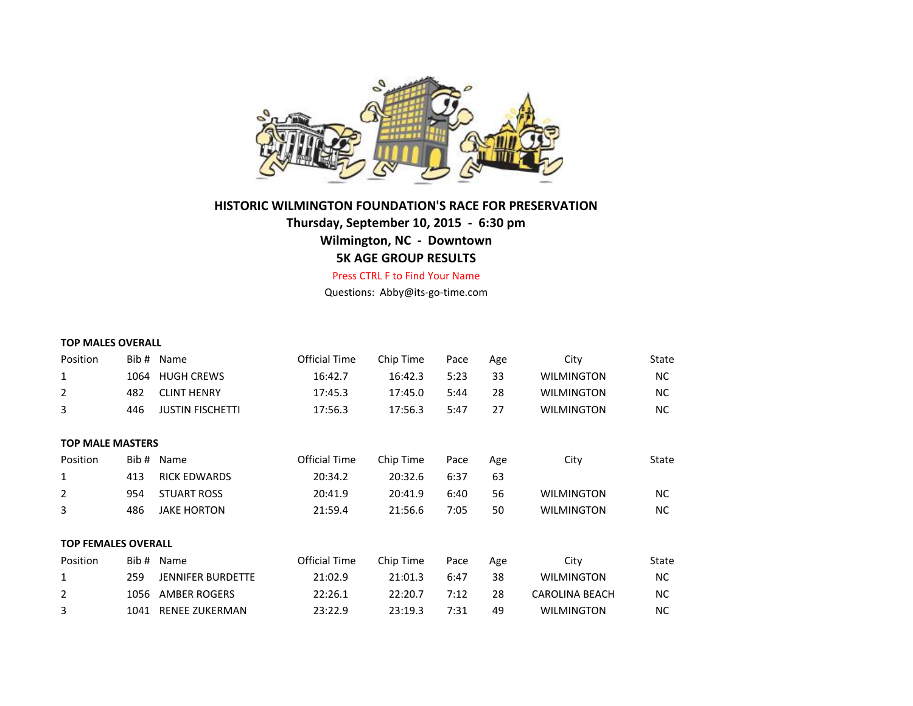

## **HISTORIC WILMINGTON FOUNDATION'S RACE FOR PRESERVATION**

# **Thursday, September 10, 2015 - 6:30 pm Wilmington, NC - Downtown 5K AGE GROUP RESULTS**

Press CTRL F to Find Your Name

Questions: Abby@its-go-time.com

| <b>TOP MALES OVERALL</b>   |       |                          |                      |           |      |     |                       |           |
|----------------------------|-------|--------------------------|----------------------|-----------|------|-----|-----------------------|-----------|
| Position                   | Bib#  | Name                     | <b>Official Time</b> | Chip Time | Pace | Age | City                  | State     |
| 1                          | 1064  | <b>HUGH CREWS</b>        | 16:42.7              | 16:42.3   | 5:23 | 33  | <b>WILMINGTON</b>     | <b>NC</b> |
| 2                          | 482   | <b>CLINT HENRY</b>       | 17:45.3              | 17:45.0   | 5:44 | 28  | <b>WILMINGTON</b>     | <b>NC</b> |
| 3                          | 446   | <b>JUSTIN FISCHETTI</b>  | 17:56.3              | 17:56.3   | 5:47 | 27  | <b>WILMINGTON</b>     | <b>NC</b> |
| <b>TOP MALE MASTERS</b>    |       |                          |                      |           |      |     |                       |           |
| Position                   | Bib#  | Name                     | <b>Official Time</b> | Chip Time | Pace | Age | City                  | State     |
| 1                          | 413   | <b>RICK EDWARDS</b>      | 20:34.2              | 20:32.6   | 6:37 | 63  |                       |           |
| 2                          | 954   | <b>STUART ROSS</b>       | 20:41.9              | 20:41.9   | 6:40 | 56  | <b>WILMINGTON</b>     | <b>NC</b> |
| 3                          | 486   | <b>JAKE HORTON</b>       | 21:59.4              | 21:56.6   | 7:05 | 50  | <b>WILMINGTON</b>     | <b>NC</b> |
| <b>TOP FEMALES OVERALL</b> |       |                          |                      |           |      |     |                       |           |
| Position                   | Bib # | Name                     | <b>Official Time</b> | Chip Time | Pace | Age | City                  | State     |
| 1                          | 259   | <b>JENNIFER BURDETTE</b> | 21:02.9              | 21:01.3   | 6:47 | 38  | <b>WILMINGTON</b>     | ΝC        |
| 2                          | 1056  | <b>AMBER ROGERS</b>      | 22:26.1              | 22:20.7   | 7:12 | 28  | <b>CAROLINA BEACH</b> | <b>NC</b> |
| 3                          | 1041  | <b>RENEE ZUKERMAN</b>    | 23:22.9              | 23:19.3   | 7:31 | 49  | <b>WILMINGTON</b>     | <b>NC</b> |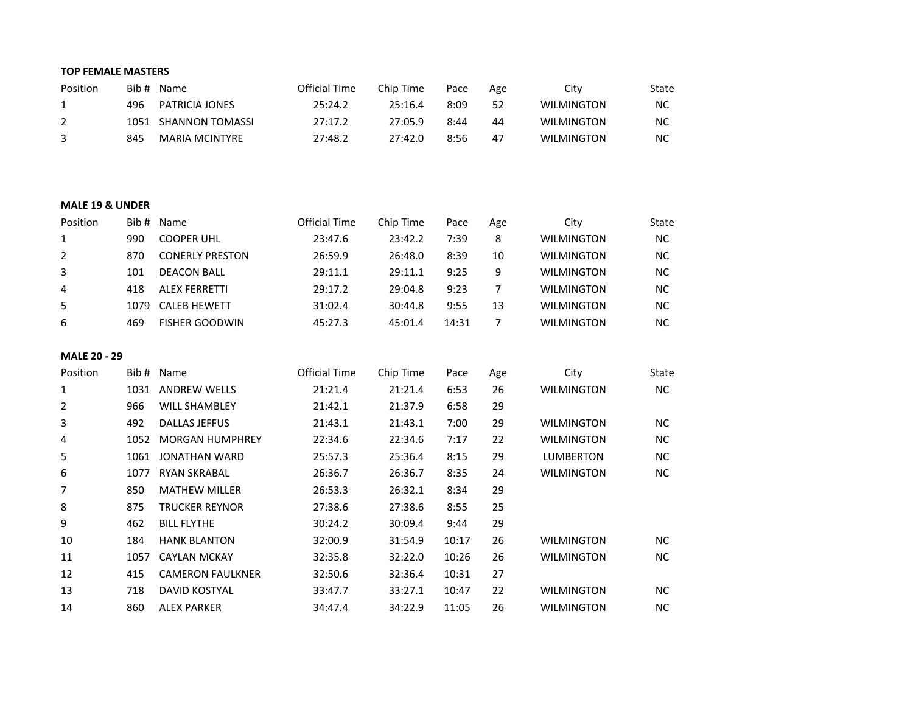#### **TOP FEMALE MASTERS**

| Position |      | Bib # Name            | Official Time | Chip Time | Pace | Age | Citv              | State |
|----------|------|-----------------------|---------------|-----------|------|-----|-------------------|-------|
| 1        | 496  | PATRICIA JONES        | 25:24.2       | 25:16.4   | 8:09 | 52  | <b>WILMINGTON</b> | ΝC    |
| 2        | 1051 | SHANNON TOMASSI       | 27:17.2       | 27:05.9   | 8:44 | 44  | <b>WILMINGTON</b> | NC    |
| -3       | 845  | <b>MARIA MCINTYRE</b> | 27:48.2       | 27:42.0   | 8:56 | 47  | <b>WILMINGTON</b> | NC    |

#### **MALE 19 & UNDER**

| Position | Bib # | Name                   | <b>Official Time</b> | Chip Time | Pace  | Age | City              | <b>State</b> |
|----------|-------|------------------------|----------------------|-----------|-------|-----|-------------------|--------------|
|          | 990   | <b>COOPER UHL</b>      | 23:47.6              | 23:42.2   | 7:39  | 8   | <b>WILMINGTON</b> | ΝC           |
| 2        | 870   | <b>CONERLY PRESTON</b> | 26:59.9              | 26:48.0   | 8:39  | 10  | <b>WILMINGTON</b> | ΝC           |
| 3        | 101   | <b>DEACON BALL</b>     | 29:11.1              | 29:11.1   | 9:25  | q   | <b>WILMINGTON</b> | ΝC           |
| 4        | 418   | <b>ALEX FERRETTI</b>   | 29:17.2              | 29:04.8   | 9:23  |     | <b>WILMINGTON</b> | <b>NC</b>    |
| 5        | 1079  | CALEB HEWETT           | 31:02.4              | 30:44.8   | 9:55  | 13  | <b>WILMINGTON</b> | ΝC           |
| 6        | 469   | <b>FISHER GOODWIN</b>  | 45:27.3              | 45:01.4   | 14:31 |     | <b>WILMINGTON</b> | ΝC           |

## **MALE 20 - 29**

| Position | Bib # | Name                    | <b>Official Time</b> | Chip Time | Pace  | Age | City              | State |
|----------|-------|-------------------------|----------------------|-----------|-------|-----|-------------------|-------|
| 1        | 1031  | <b>ANDREW WELLS</b>     | 21:21.4              | 21:21.4   | 6:53  | 26  | <b>WILMINGTON</b> | NC.   |
| 2        | 966   | <b>WILL SHAMBLEY</b>    | 21:42.1              | 21:37.9   | 6:58  | 29  |                   |       |
| 3        | 492   | <b>DALLAS JEFFUS</b>    | 21:43.1              | 21:43.1   | 7:00  | 29  | <b>WILMINGTON</b> | NC.   |
| 4        | 1052  | <b>MORGAN HUMPHREY</b>  | 22:34.6              | 22:34.6   | 7:17  | 22  | <b>WILMINGTON</b> | NC.   |
| 5        | 1061  | JONATHAN WARD           | 25:57.3              | 25:36.4   | 8:15  | 29  | LUMBERTON         | NC.   |
| 6        | 1077  | <b>RYAN SKRABAL</b>     | 26:36.7              | 26:36.7   | 8:35  | 24  | <b>WILMINGTON</b> | NC.   |
| 7        | 850   | <b>MATHEW MILLER</b>    | 26:53.3              | 26:32.1   | 8:34  | 29  |                   |       |
| 8        | 875   | <b>TRUCKER REYNOR</b>   | 27:38.6              | 27:38.6   | 8:55  | 25  |                   |       |
| 9        | 462   | <b>BILL FLYTHE</b>      | 30:24.2              | 30:09.4   | 9:44  | 29  |                   |       |
| 10       | 184   | <b>HANK BLANTON</b>     | 32:00.9              | 31:54.9   | 10:17 | 26  | <b>WILMINGTON</b> | NC.   |
| 11       | 1057  | <b>CAYLAN MCKAY</b>     | 32:35.8              | 32:22.0   | 10:26 | 26  | <b>WILMINGTON</b> | NC.   |
| 12       | 415   | <b>CAMERON FAULKNER</b> | 32:50.6              | 32:36.4   | 10:31 | 27  |                   |       |
| 13       | 718   | <b>DAVID KOSTYAL</b>    | 33:47.7              | 33:27.1   | 10:47 | 22  | <b>WILMINGTON</b> | NC.   |
| 14       | 860   | <b>ALEX PARKER</b>      | 34:47.4              | 34:22.9   | 11:05 | 26  | WILMINGTON        | NC.   |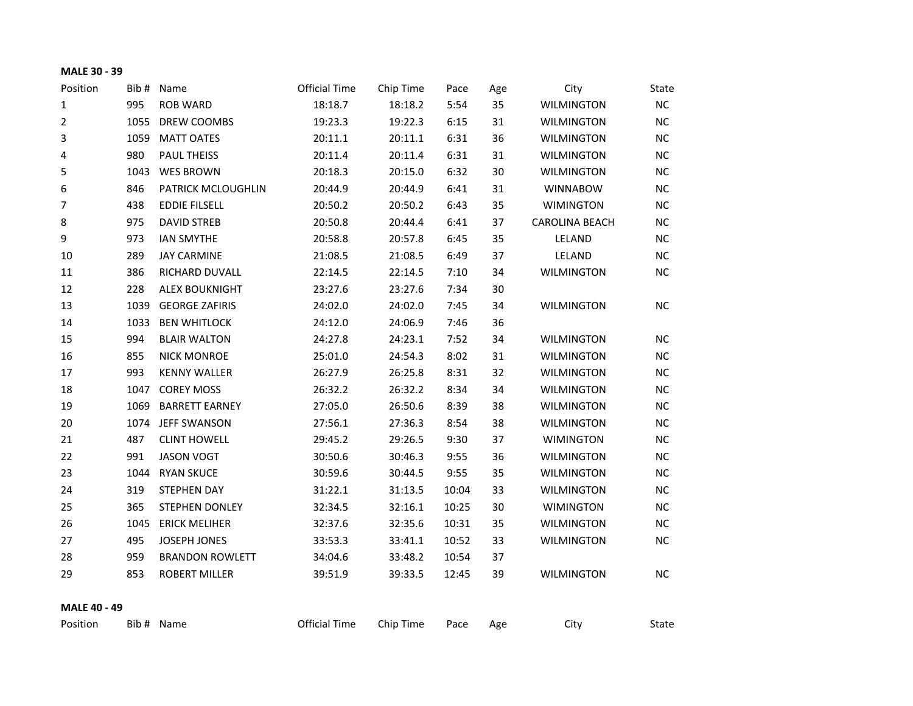## **MALE 30 - 39**

| Position            |      | Bib # Name             | <b>Official Time</b> | Chip Time | Pace  | Age | City                  | State     |
|---------------------|------|------------------------|----------------------|-----------|-------|-----|-----------------------|-----------|
| $\mathbf 1$         | 995  | <b>ROB WARD</b>        | 18:18.7              | 18:18.2   | 5:54  | 35  | <b>WILMINGTON</b>     | NC        |
| $\overline{2}$      | 1055 | DREW COOMBS            | 19:23.3              | 19:22.3   | 6:15  | 31  | <b>WILMINGTON</b>     | $NC$      |
| 3                   | 1059 | <b>MATT OATES</b>      | 20:11.1              | 20:11.1   | 6:31  | 36  | <b>WILMINGTON</b>     | <b>NC</b> |
| 4                   | 980  | PAUL THEISS            | 20:11.4              | 20:11.4   | 6:31  | 31  | <b>WILMINGTON</b>     | <b>NC</b> |
| 5                   | 1043 | <b>WES BROWN</b>       | 20:18.3              | 20:15.0   | 6:32  | 30  | <b>WILMINGTON</b>     | NC        |
| 6                   | 846  | PATRICK MCLOUGHLIN     | 20:44.9              | 20:44.9   | 6:41  | 31  | <b>WINNABOW</b>       | $NC$      |
| 7                   | 438  | <b>EDDIE FILSELL</b>   | 20:50.2              | 20:50.2   | 6:43  | 35  | <b>WIMINGTON</b>      | <b>NC</b> |
| 8                   | 975  | <b>DAVID STREB</b>     | 20:50.8              | 20:44.4   | 6:41  | 37  | <b>CAROLINA BEACH</b> | <b>NC</b> |
| 9                   | 973  | <b>IAN SMYTHE</b>      | 20:58.8              | 20:57.8   | 6:45  | 35  | LELAND                | <b>NC</b> |
| 10                  | 289  | <b>JAY CARMINE</b>     | 21:08.5              | 21:08.5   | 6:49  | 37  | LELAND                | NC        |
| 11                  | 386  | RICHARD DUVALL         | 22:14.5              | 22:14.5   | 7:10  | 34  | <b>WILMINGTON</b>     | <b>NC</b> |
| 12                  | 228  | <b>ALEX BOUKNIGHT</b>  | 23:27.6              | 23:27.6   | 7:34  | 30  |                       |           |
| 13                  | 1039 | <b>GEORGE ZAFIRIS</b>  | 24:02.0              | 24:02.0   | 7:45  | 34  | <b>WILMINGTON</b>     | NC        |
| 14                  | 1033 | <b>BEN WHITLOCK</b>    | 24:12.0              | 24:06.9   | 7:46  | 36  |                       |           |
| 15                  | 994  | <b>BLAIR WALTON</b>    | 24:27.8              | 24:23.1   | 7:52  | 34  | <b>WILMINGTON</b>     | <b>NC</b> |
| 16                  | 855  | <b>NICK MONROE</b>     | 25:01.0              | 24:54.3   | 8:02  | 31  | <b>WILMINGTON</b>     | <b>NC</b> |
| 17                  | 993  | <b>KENNY WALLER</b>    | 26:27.9              | 26:25.8   | 8:31  | 32  | <b>WILMINGTON</b>     | NC        |
| 18                  |      | 1047 COREY MOSS        | 26:32.2              | 26:32.2   | 8:34  | 34  | <b>WILMINGTON</b>     | $NC$      |
| 19                  | 1069 | <b>BARRETT EARNEY</b>  | 27:05.0              | 26:50.6   | 8:39  | 38  | <b>WILMINGTON</b>     | <b>NC</b> |
| 20                  | 1074 | <b>JEFF SWANSON</b>    | 27:56.1              | 27:36.3   | 8:54  | 38  | <b>WILMINGTON</b>     | NC        |
| 21                  | 487  | <b>CLINT HOWELL</b>    | 29:45.2              | 29:26.5   | 9:30  | 37  | <b>WIMINGTON</b>      | NC        |
| 22                  | 991  | <b>JASON VOGT</b>      | 30:50.6              | 30:46.3   | 9:55  | 36  | <b>WILMINGTON</b>     | $NC$      |
| 23                  | 1044 | <b>RYAN SKUCE</b>      | 30:59.6              | 30:44.5   | 9:55  | 35  | <b>WILMINGTON</b>     | <b>NC</b> |
| 24                  | 319  | <b>STEPHEN DAY</b>     | 31:22.1              | 31:13.5   | 10:04 | 33  | <b>WILMINGTON</b>     | <b>NC</b> |
| 25                  | 365  | <b>STEPHEN DONLEY</b>  | 32:34.5              | 32:16.1   | 10:25 | 30  | <b>WIMINGTON</b>      | <b>NC</b> |
| 26                  | 1045 | <b>ERICK MELIHER</b>   | 32:37.6              | 32:35.6   | 10:31 | 35  | <b>WILMINGTON</b>     | NC        |
| 27                  | 495  | JOSEPH JONES           | 33:53.3              | 33:41.1   | 10:52 | 33  | <b>WILMINGTON</b>     | <b>NC</b> |
| 28                  | 959  | <b>BRANDON ROWLETT</b> | 34:04.6              | 33:48.2   | 10:54 | 37  |                       |           |
| 29                  | 853  | <b>ROBERT MILLER</b>   | 39:51.9              | 39:33.5   | 12:45 | 39  | <b>WILMINGTON</b>     | <b>NC</b> |
|                     |      |                        |                      |           |       |     |                       |           |
| <b>MALE 40 - 49</b> |      |                        |                      |           |       |     |                       |           |
| Position            |      | Bib # Name             | <b>Official Time</b> | Chip Time | Pace  | Age | City                  | State     |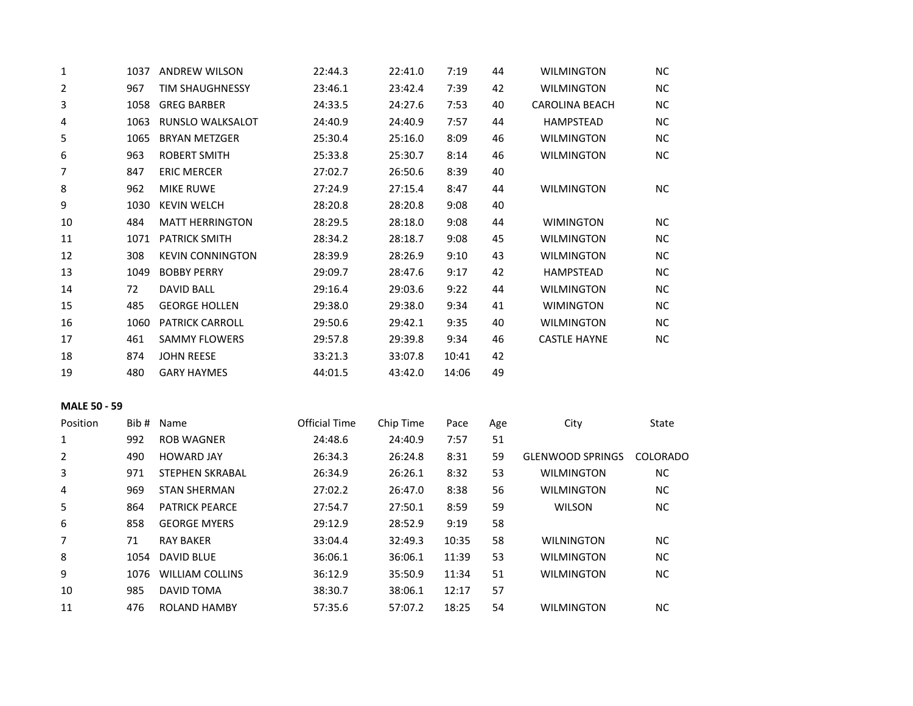| $1\,$               |      | 1037 ANDREW WILSON      | 22:44.3              | 22:41.0   | 7:19  | 44  | <b>WILMINGTON</b>       | <b>NC</b> |
|---------------------|------|-------------------------|----------------------|-----------|-------|-----|-------------------------|-----------|
| $\overline{2}$      | 967  | <b>TIM SHAUGHNESSY</b>  | 23:46.1              | 23:42.4   | 7:39  | 42  | <b>WILMINGTON</b>       | NC        |
| 3                   | 1058 | <b>GREG BARBER</b>      | 24:33.5              | 24:27.6   | 7:53  | 40  | <b>CAROLINA BEACH</b>   | <b>NC</b> |
| 4                   | 1063 | <b>RUNSLO WALKSALOT</b> | 24:40.9              | 24:40.9   | 7:57  | 44  | <b>HAMPSTEAD</b>        | <b>NC</b> |
| 5                   | 1065 | <b>BRYAN METZGER</b>    | 25:30.4              | 25:16.0   | 8:09  | 46  | <b>WILMINGTON</b>       | NC        |
| 6                   | 963  | <b>ROBERT SMITH</b>     | 25:33.8              | 25:30.7   | 8:14  | 46  | <b>WILMINGTON</b>       | <b>NC</b> |
| $\overline{7}$      | 847  | <b>ERIC MERCER</b>      | 27:02.7              | 26:50.6   | 8:39  | 40  |                         |           |
| 8                   | 962  | <b>MIKE RUWE</b>        | 27:24.9              | 27:15.4   | 8:47  | 44  | <b>WILMINGTON</b>       | <b>NC</b> |
| 9                   | 1030 | <b>KEVIN WELCH</b>      | 28:20.8              | 28:20.8   | 9:08  | 40  |                         |           |
| 10                  | 484  | <b>MATT HERRINGTON</b>  | 28:29.5              | 28:18.0   | 9:08  | 44  | <b>WIMINGTON</b>        | <b>NC</b> |
| 11                  | 1071 | <b>PATRICK SMITH</b>    | 28:34.2              | 28:18.7   | 9:08  | 45  | <b>WILMINGTON</b>       | $NC$      |
| 12                  | 308  | <b>KEVIN CONNINGTON</b> | 28:39.9              | 28:26.9   | 9:10  | 43  | <b>WILMINGTON</b>       | <b>NC</b> |
| 13                  | 1049 | <b>BOBBY PERRY</b>      | 29:09.7              | 28:47.6   | 9:17  | 42  | HAMPSTEAD               | <b>NC</b> |
| 14                  | 72   | <b>DAVID BALL</b>       | 29:16.4              | 29:03.6   | 9:22  | 44  | <b>WILMINGTON</b>       | <b>NC</b> |
| 15                  | 485  | <b>GEORGE HOLLEN</b>    | 29:38.0              | 29:38.0   | 9:34  | 41  | <b>WIMINGTON</b>        | <b>NC</b> |
| 16                  | 1060 | <b>PATRICK CARROLL</b>  | 29:50.6              | 29:42.1   | 9:35  | 40  | <b>WILMINGTON</b>       | <b>NC</b> |
| 17                  | 461  | <b>SAMMY FLOWERS</b>    | 29:57.8              | 29:39.8   | 9:34  | 46  | <b>CASTLE HAYNE</b>     | NC        |
| 18                  | 874  | <b>JOHN REESE</b>       | 33:21.3              | 33:07.8   | 10:41 | 42  |                         |           |
| 19                  | 480  | <b>GARY HAYMES</b>      | 44:01.5              | 43:42.0   | 14:06 | 49  |                         |           |
| <b>MALE 50 - 59</b> |      |                         |                      |           |       |     |                         |           |
| Position            |      | Bib # Name              | <b>Official Time</b> | Chip Time | Pace  | Age | City                    | State     |
| $1\,$               | 992  | <b>ROB WAGNER</b>       | 24:48.6              | 24:40.9   | 7:57  | 51  |                         |           |
| 2                   | 490  | <b>HOWARD JAY</b>       | 26:34.3              | 26:24.8   | 8:31  | 59  | <b>GLENWOOD SPRINGS</b> | COLORADO  |
| 3                   | 971  | STEPHEN SKRABAL         | 26:34.9              | 26:26.1   | 8:32  | 53  | <b>WILMINGTON</b>       | NC        |
| 4                   | 969  | <b>STAN SHERMAN</b>     | 27:02.2              | 26:47.0   | 8:38  | 56  | <b>WILMINGTON</b>       | <b>NC</b> |
| 5                   | 864  | <b>PATRICK PEARCE</b>   | 27:54.7              | 27:50.1   | 8:59  | 59  | <b>WILSON</b>           | <b>NC</b> |
| 6                   | 858  | <b>GEORGE MYERS</b>     | 29:12.9              | 28:52.9   | 9:19  | 58  |                         |           |
| 7                   | 71   | <b>RAY BAKER</b>        | 33:04.4              | 32:49.3   | 10:35 | 58  | <b>WILNINGTON</b>       | NC        |
| 8                   | 1054 | <b>DAVID BLUE</b>       | 36:06.1              | 36:06.1   | 11:39 | 53  | WILMINGTON              | <b>NC</b> |
| 9                   | 1076 | <b>WILLIAM COLLINS</b>  | 36:12.9              | 35:50.9   | 11:34 | 51  | <b>WILMINGTON</b>       | <b>NC</b> |
| 10                  | 985  | <b>DAVID TOMA</b>       | 38:30.7              | 38:06.1   | 12:17 | 57  |                         |           |
| 11                  | 476  | ROLAND HAMBY            | 57:35.6              | 57:07.2   | 18:25 | 54  | <b>WILMINGTON</b>       | <b>NC</b> |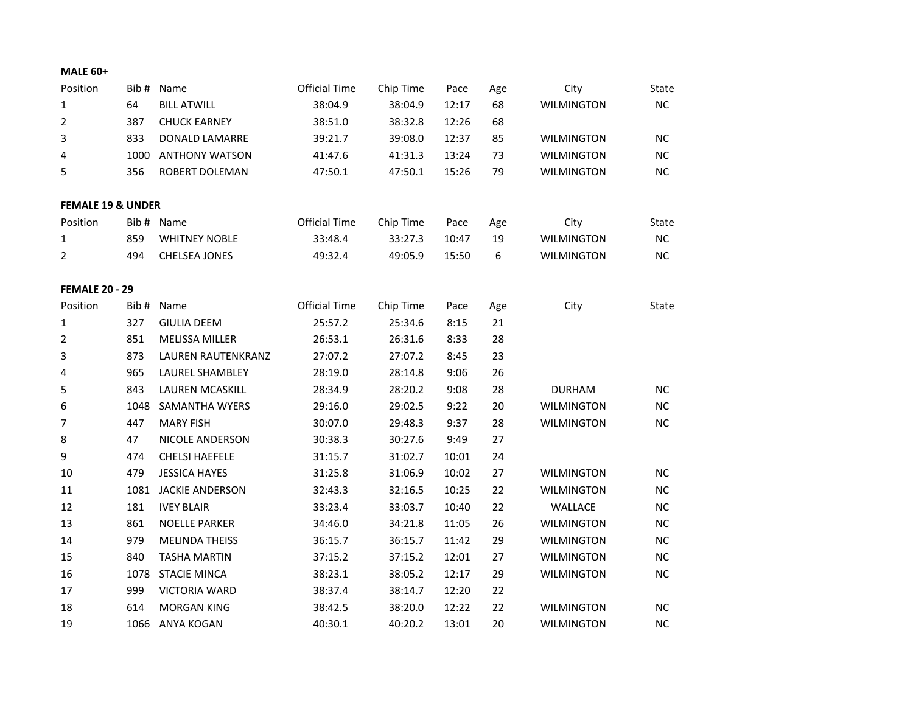| Position                     |      | Bib # Name            | <b>Official Time</b> | Chip Time | Pace  | Age              | City              | State     |
|------------------------------|------|-----------------------|----------------------|-----------|-------|------------------|-------------------|-----------|
| $\mathbf{1}$                 | 64   | <b>BILL ATWILL</b>    | 38:04.9              | 38:04.9   | 12:17 | 68               | <b>WILMINGTON</b> | NC        |
| 2                            | 387  | <b>CHUCK EARNEY</b>   | 38:51.0              | 38:32.8   | 12:26 | 68               |                   |           |
| 3                            | 833  | DONALD LAMARRE        | 39:21.7              | 39:08.0   | 12:37 | 85               | <b>WILMINGTON</b> | <b>NC</b> |
| 4                            | 1000 | <b>ANTHONY WATSON</b> | 41:47.6              | 41:31.3   | 13:24 | 73               | <b>WILMINGTON</b> | <b>NC</b> |
| 5                            | 356  | ROBERT DOLEMAN        | 47:50.1              | 47:50.1   | 15:26 | 79               | <b>WILMINGTON</b> | NC        |
|                              |      |                       |                      |           |       |                  |                   |           |
| <b>FEMALE 19 &amp; UNDER</b> |      |                       |                      |           |       |                  |                   |           |
| Position                     |      | Bib # Name            | <b>Official Time</b> | Chip Time | Pace  | Age              | City              | State     |
| 1                            | 859  | <b>WHITNEY NOBLE</b>  | 33:48.4              | 33:27.3   | 10:47 | 19               | <b>WILMINGTON</b> | $NC$      |
| 2                            | 494  | <b>CHELSEA JONES</b>  | 49:32.4              | 49:05.9   | 15:50 | $\boldsymbol{6}$ | <b>WILMINGTON</b> | NC        |
|                              |      |                       |                      |           |       |                  |                   |           |
| <b>FEMALE 20 - 29</b>        |      |                       |                      |           |       |                  |                   |           |
| Position                     | Bib# | Name                  | <b>Official Time</b> | Chip Time | Pace  | Age              | City              | State     |
| $\mathbf{1}$                 | 327  | <b>GIULIA DEEM</b>    | 25:57.2              | 25:34.6   | 8:15  | 21               |                   |           |
| 2                            | 851  | <b>MELISSA MILLER</b> | 26:53.1              | 26:31.6   | 8:33  | 28               |                   |           |
| 3                            | 873  | LAUREN RAUTENKRANZ    | 27:07.2              | 27:07.2   | 8:45  | 23               |                   |           |
| 4                            | 965  | LAUREL SHAMBLEY       | 28:19.0              | 28:14.8   | 9:06  | 26               |                   |           |
| 5                            | 843  | LAUREN MCASKILL       | 28:34.9              | 28:20.2   | 9:08  | 28               | <b>DURHAM</b>     | <b>NC</b> |
| 6                            | 1048 | <b>SAMANTHA WYERS</b> | 29:16.0              | 29:02.5   | 9:22  | 20               | <b>WILMINGTON</b> | NC        |
| 7                            | 447  | <b>MARY FISH</b>      | 30:07.0              | 29:48.3   | 9:37  | 28               | <b>WILMINGTON</b> | <b>NC</b> |
| $\,8\,$                      | 47   | NICOLE ANDERSON       | 30:38.3              | 30:27.6   | 9:49  | 27               |                   |           |
| $\boldsymbol{9}$             | 474  | <b>CHELSI HAEFELE</b> | 31:15.7              | 31:02.7   | 10:01 | 24               |                   |           |
| 10                           | 479  | <b>JESSICA HAYES</b>  | 31:25.8              | 31:06.9   | 10:02 | 27               | <b>WILMINGTON</b> | <b>NC</b> |
| $11\,$                       | 1081 | JACKIE ANDERSON       | 32:43.3              | 32:16.5   | 10:25 | 22               | <b>WILMINGTON</b> | $NC$      |
| 12                           | 181  | <b>IVEY BLAIR</b>     | 33:23.4              | 33:03.7   | 10:40 | 22               | WALLACE           | <b>NC</b> |
| 13                           | 861  | <b>NOELLE PARKER</b>  | 34:46.0              | 34:21.8   | 11:05 | 26               | <b>WILMINGTON</b> | NC        |
| 14                           | 979  | <b>MELINDA THEISS</b> | 36:15.7              | 36:15.7   | 11:42 | 29               | <b>WILMINGTON</b> | <b>NC</b> |
| 15                           | 840  | <b>TASHA MARTIN</b>   | 37:15.2              | 37:15.2   | 12:01 | 27               | <b>WILMINGTON</b> | <b>NC</b> |
| 16                           | 1078 | <b>STACIE MINCA</b>   | 38:23.1              | 38:05.2   | 12:17 | 29               | <b>WILMINGTON</b> | <b>NC</b> |
| 17                           | 999  | <b>VICTORIA WARD</b>  | 38:37.4              | 38:14.7   | 12:20 | 22               |                   |           |
| 18                           | 614  | <b>MORGAN KING</b>    | 38:42.5              | 38:20.0   | 12:22 | 22               | <b>WILMINGTON</b> | <b>NC</b> |
| 19                           | 1066 | ANYA KOGAN            | 40:30.1              | 40:20.2   | 13:01 | 20               | <b>WILMINGTON</b> | <b>NC</b> |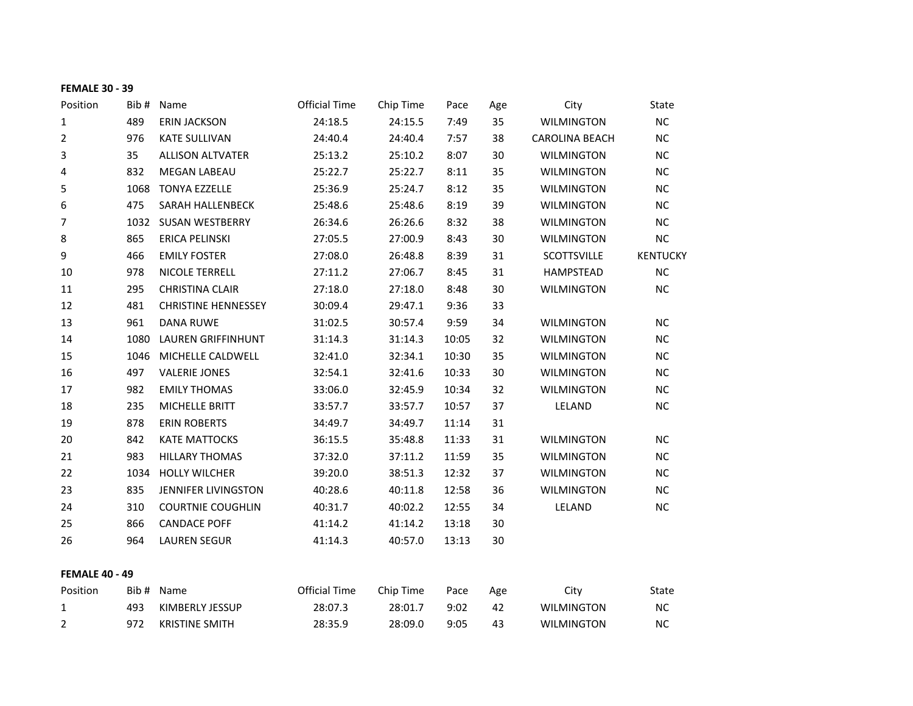## **FEMALE 30 - 39**

| Position              | Bib # | Name                       | <b>Official Time</b> | Chip Time | Pace  | Age | City                  | State           |
|-----------------------|-------|----------------------------|----------------------|-----------|-------|-----|-----------------------|-----------------|
| 1                     | 489   | <b>ERIN JACKSON</b>        | 24:18.5              | 24:15.5   | 7:49  | 35  | <b>WILMINGTON</b>     | NC              |
| $\overline{2}$        | 976   | <b>KATE SULLIVAN</b>       | 24:40.4              | 24:40.4   | 7:57  | 38  | <b>CAROLINA BEACH</b> | NC              |
| 3                     | 35    | <b>ALLISON ALTVATER</b>    | 25:13.2              | 25:10.2   | 8:07  | 30  | <b>WILMINGTON</b>     | NC              |
| 4                     | 832   | <b>MEGAN LABEAU</b>        | 25:22.7              | 25:22.7   | 8:11  | 35  | <b>WILMINGTON</b>     | <b>NC</b>       |
| 5                     | 1068  | <b>TONYA EZZELLE</b>       | 25:36.9              | 25:24.7   | 8:12  | 35  | <b>WILMINGTON</b>     | $NC$            |
| 6                     | 475   | SARAH HALLENBECK           | 25:48.6              | 25:48.6   | 8:19  | 39  | <b>WILMINGTON</b>     | NC              |
| 7                     |       | 1032 SUSAN WESTBERRY       | 26:34.6              | 26:26.6   | 8:32  | 38  | <b>WILMINGTON</b>     | NC              |
| 8                     | 865   | <b>ERICA PELINSKI</b>      | 27:05.5              | 27:00.9   | 8:43  | 30  | <b>WILMINGTON</b>     | $NC$            |
| 9                     | 466   | <b>EMILY FOSTER</b>        | 27:08.0              | 26:48.8   | 8:39  | 31  | SCOTTSVILLE           | <b>KENTUCKY</b> |
| 10                    | 978   | NICOLE TERRELL             | 27:11.2              | 27:06.7   | 8:45  | 31  | HAMPSTEAD             | <b>NC</b>       |
| 11                    | 295   | <b>CHRISTINA CLAIR</b>     | 27:18.0              | 27:18.0   | 8:48  | 30  | <b>WILMINGTON</b>     | <b>NC</b>       |
| 12                    | 481   | <b>CHRISTINE HENNESSEY</b> | 30:09.4              | 29:47.1   | 9:36  | 33  |                       |                 |
| 13                    | 961   | <b>DANA RUWE</b>           | 31:02.5              | 30:57.4   | 9:59  | 34  | <b>WILMINGTON</b>     | <b>NC</b>       |
| 14                    | 1080  | <b>LAUREN GRIFFINHUNT</b>  | 31:14.3              | 31:14.3   | 10:05 | 32  | <b>WILMINGTON</b>     | NC              |
| 15                    | 1046  | MICHELLE CALDWELL          | 32:41.0              | 32:34.1   | 10:30 | 35  | <b>WILMINGTON</b>     | <b>NC</b>       |
| 16                    | 497   | <b>VALERIE JONES</b>       | 32:54.1              | 32:41.6   | 10:33 | 30  | <b>WILMINGTON</b>     | <b>NC</b>       |
| 17                    | 982   | <b>EMILY THOMAS</b>        | 33:06.0              | 32:45.9   | 10:34 | 32  | <b>WILMINGTON</b>     | <b>NC</b>       |
| 18                    | 235   | MICHELLE BRITT             | 33:57.7              | 33:57.7   | 10:57 | 37  | LELAND                | NC              |
| 19                    | 878   | <b>ERIN ROBERTS</b>        | 34:49.7              | 34:49.7   | 11:14 | 31  |                       |                 |
| 20                    | 842   | <b>KATE MATTOCKS</b>       | 36:15.5              | 35:48.8   | 11:33 | 31  | <b>WILMINGTON</b>     | <b>NC</b>       |
| 21                    | 983   | <b>HILLARY THOMAS</b>      | 37:32.0              | 37:11.2   | 11:59 | 35  | <b>WILMINGTON</b>     | <b>NC</b>       |
| 22                    | 1034  | <b>HOLLY WILCHER</b>       | 39:20.0              | 38:51.3   | 12:32 | 37  | <b>WILMINGTON</b>     | <b>NC</b>       |
| 23                    | 835   | <b>JENNIFER LIVINGSTON</b> | 40:28.6              | 40:11.8   | 12:58 | 36  | <b>WILMINGTON</b>     | NC              |
| 24                    | 310   | <b>COURTNIE COUGHLIN</b>   | 40:31.7              | 40:02.2   | 12:55 | 34  | LELAND                | NC              |
| 25                    | 866   | <b>CANDACE POFF</b>        | 41:14.2              | 41:14.2   | 13:18 | 30  |                       |                 |
| 26                    | 964   | <b>LAUREN SEGUR</b>        | 41:14.3              | 40:57.0   | 13:13 | 30  |                       |                 |
| <b>FEMALE 40 - 49</b> |       |                            |                      |           |       |     |                       |                 |
| Position              |       | Bib # Name                 | <b>Official Time</b> | Chip Time | Pace  | Age | City                  | State           |
| $\mathbf{1}$          | 493   | KIMBERLY JESSUP            | 28:07.3              | 28:01.7   | 9:02  | 42  | <b>WILMINGTON</b>     | NC              |
| 2                     | 972   | <b>KRISTINE SMITH</b>      | 28:35.9              | 28:09.0   | 9:05  | 43  | <b>WILMINGTON</b>     | NC              |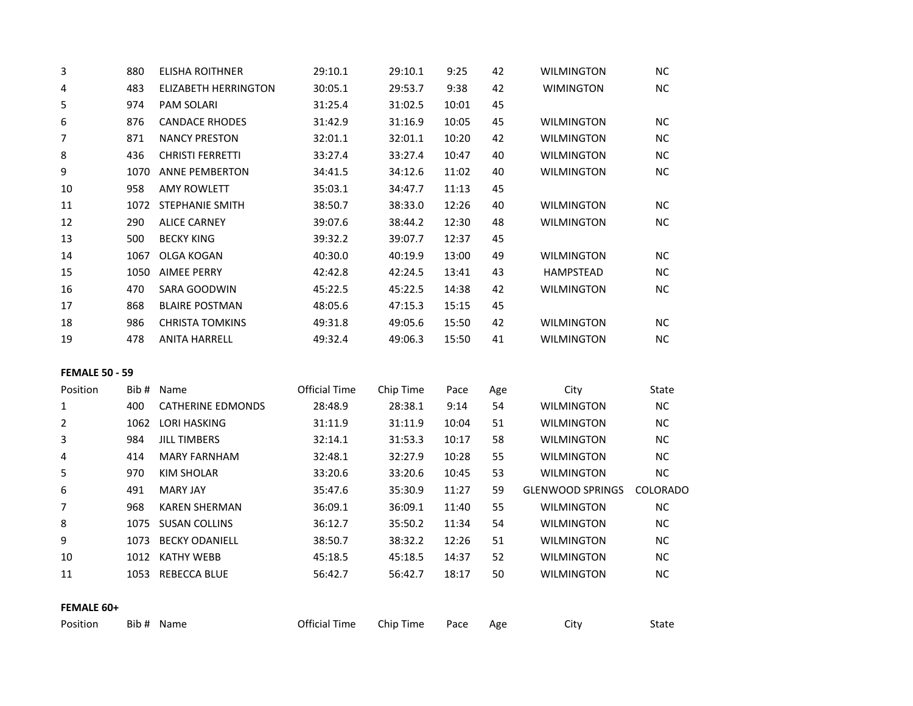| 3                     | 880  | <b>ELISHA ROITHNER</b>      | 29:10.1              | 29:10.1   | 9:25  | 42  | <b>WILMINGTON</b>       | <b>NC</b> |
|-----------------------|------|-----------------------------|----------------------|-----------|-------|-----|-------------------------|-----------|
| 4                     | 483  | <b>ELIZABETH HERRINGTON</b> | 30:05.1              | 29:53.7   | 9:38  | 42  | <b>WIMINGTON</b>        | <b>NC</b> |
| 5                     | 974  | PAM SOLARI                  | 31:25.4              | 31:02.5   | 10:01 | 45  |                         |           |
| 6                     | 876  | <b>CANDACE RHODES</b>       | 31:42.9              | 31:16.9   | 10:05 | 45  | <b>WILMINGTON</b>       | NC        |
| $\overline{7}$        | 871  | <b>NANCY PRESTON</b>        | 32:01.1              | 32:01.1   | 10:20 | 42  | <b>WILMINGTON</b>       | NC        |
| 8                     | 436  | <b>CHRISTI FERRETTI</b>     | 33:27.4              | 33:27.4   | 10:47 | 40  | <b>WILMINGTON</b>       | NC        |
| 9                     | 1070 | <b>ANNE PEMBERTON</b>       | 34:41.5              | 34:12.6   | 11:02 | 40  | <b>WILMINGTON</b>       | <b>NC</b> |
| $10\,$                | 958  | <b>AMY ROWLETT</b>          | 35:03.1              | 34:47.7   | 11:13 | 45  |                         |           |
| 11                    |      | 1072 STEPHANIE SMITH        | 38:50.7              | 38:33.0   | 12:26 | 40  | <b>WILMINGTON</b>       | NC        |
| 12                    | 290  | <b>ALICE CARNEY</b>         | 39:07.6              | 38:44.2   | 12:30 | 48  | <b>WILMINGTON</b>       | <b>NC</b> |
| 13                    | 500  | <b>BECKY KING</b>           | 39:32.2              | 39:07.7   | 12:37 | 45  |                         |           |
| 14                    | 1067 | <b>OLGA KOGAN</b>           | 40:30.0              | 40:19.9   | 13:00 | 49  | <b>WILMINGTON</b>       | NC        |
| 15                    | 1050 | <b>AIMEE PERRY</b>          | 42:42.8              | 42:24.5   | 13:41 | 43  | <b>HAMPSTEAD</b>        | <b>NC</b> |
| 16                    | 470  | <b>SARA GOODWIN</b>         | 45:22.5              | 45:22.5   | 14:38 | 42  | <b>WILMINGTON</b>       | <b>NC</b> |
| 17                    | 868  | <b>BLAIRE POSTMAN</b>       | 48:05.6              | 47:15.3   | 15:15 | 45  |                         |           |
| 18                    | 986  | <b>CHRISTA TOMKINS</b>      | 49:31.8              | 49:05.6   | 15:50 | 42  | <b>WILMINGTON</b>       | <b>NC</b> |
| 19                    | 478  | <b>ANITA HARRELL</b>        | 49:32.4              | 49:06.3   | 15:50 | 41  | <b>WILMINGTON</b>       | NC        |
| <b>FEMALE 50 - 59</b> |      |                             |                      |           |       |     |                         |           |
| Position              |      | Bib # Name                  | <b>Official Time</b> | Chip Time | Pace  | Age | City                    | State     |
| 1                     | 400  | <b>CATHERINE EDMONDS</b>    | 28:48.9              | 28:38.1   | 9:14  | 54  | <b>WILMINGTON</b>       | NC        |
| $\overline{2}$        |      | 1062 LORI HASKING           | 31:11.9              | 31:11.9   | 10:04 | 51  | <b>WILMINGTON</b>       | <b>NC</b> |
| 3                     | 984  | <b>JILL TIMBERS</b>         | 32:14.1              | 31:53.3   | 10:17 | 58  | <b>WILMINGTON</b>       | <b>NC</b> |
| 4                     | 414  | <b>MARY FARNHAM</b>         | 32:48.1              | 32:27.9   | 10:28 | 55  | <b>WILMINGTON</b>       | <b>NC</b> |
| 5                     | 970  | <b>KIM SHOLAR</b>           | 33:20.6              | 33:20.6   | 10:45 | 53  | <b>WILMINGTON</b>       | NC        |
| 6                     | 491  | <b>MARY JAY</b>             | 35:47.6              | 35:30.9   | 11:27 | 59  | <b>GLENWOOD SPRINGS</b> | COLORADO  |
| 7                     | 968  | <b>KAREN SHERMAN</b>        | 36:09.1              | 36:09.1   | 11:40 | 55  | <b>WILMINGTON</b>       | <b>NC</b> |
| 8                     | 1075 | <b>SUSAN COLLINS</b>        | 36:12.7              | 35:50.2   | 11:34 | 54  | <b>WILMINGTON</b>       | NC        |
| 9                     |      | 1073 BECKY ODANIELL         | 38:50.7              | 38:32.2   | 12:26 | 51  | <b>WILMINGTON</b>       | <b>NC</b> |
| $10\,$                |      | 1012 KATHY WEBB             | 45:18.5              | 45:18.5   | 14:37 | 52  | <b>WILMINGTON</b>       | NC        |
| 11                    |      | 1053 REBECCA BLUE           | 56:42.7              | 56:42.7   | 18:17 | 50  | WILMINGTON              | <b>NC</b> |
| FEMALE 60+            |      |                             |                      |           |       |     |                         |           |
| Position              |      | Bib # Name                  | <b>Official Time</b> | Chip Time | Pace  | Age | City                    | State     |
|                       |      |                             |                      |           |       |     |                         |           |